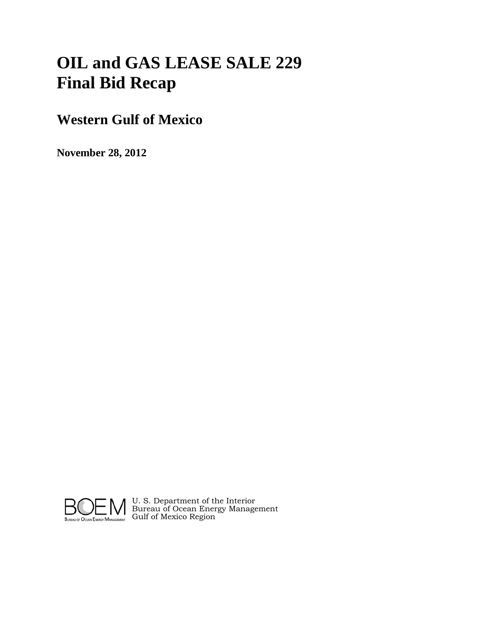# **OIL and GAS LEASE SALE 229 Final Bid Recap**

# **Western Gulf of Mexico**

**November 28, 2012**



U. S. Department of the Interior Bureau of Ocean Energy Management Gulf of Mexico Region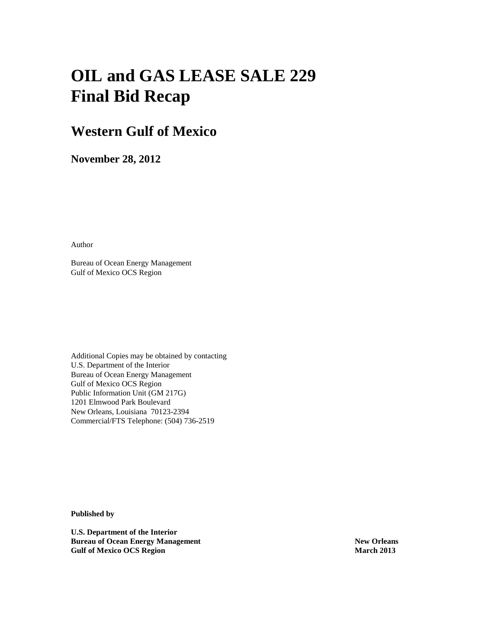# **OIL and GAS LEASE SALE 229 Final Bid Recap**

# **Western Gulf of Mexico**

**November 28, 2012**

Author

Bureau of Ocean Energy Management Gulf of Mexico OCS Region

Additional Copies may be obtained by contacting U.S. Department of the Interior Bureau of Ocean Energy Management Gulf of Mexico OCS Region Public Information Unit (GM 217G) 1201 Elmwood Park Boulevard New Orleans, Louisiana 70123-2394 Commercial/FTS Telephone: (504) 736-2519

**Published by**

**U.S. Department of the Interior Bureau of Ocean Energy Management New Orleans New Orleans Gulf of Mexico OCS Region March 2013**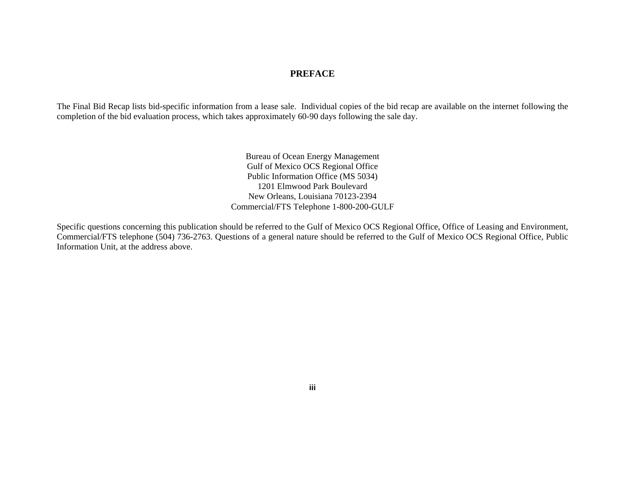#### *PREFACE*

The Final Bid Recap lists bid-specific information from a lease sale. Individual copies of the bid recap are available on the internet following the completion of the bid evaluation process, which takes approximately 60-90 days following the sale day.

 Bureau of Ocean Energy Management Gulf of Mexico OCS Regional Office Public Information Office (MS 5034) 1201 Elmwood Park Boulevard New Orleans, Louisiana 70123-2394 Commercial/FTS Telephone 1-800-200-GULF

Specific questions concerning this publication should be referred to the Gulf of Mexico OCS Regional Office, Office of Leasing and Environment, Commercial/FTS telephone (504) 736-2763. Questions of a general nature should be referred to the Gulf of Mexico OCS Regional Office, Public Information Unit, at the address above.

 **iii**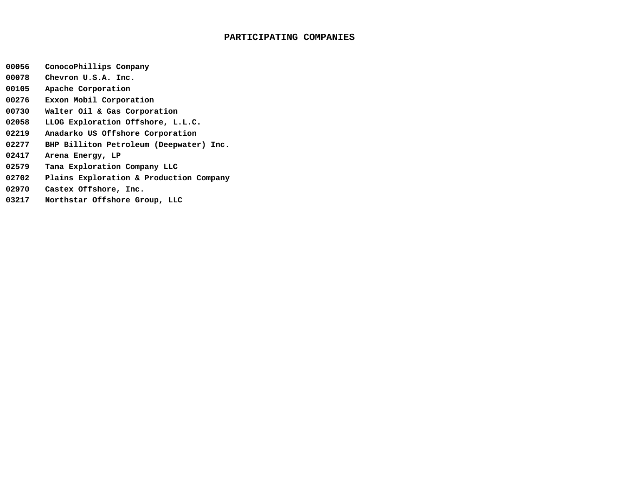#### **PARTICIPATING COMPANIES**

- **00056 ConocoPhillips Company**
- **00078 Chevron U.S.A. Inc.**
- **00105 Apache Corporation**
- **00276 Exxon Mobil Corporation**
- **00730 Walter Oil & Gas Corporation**
- **02058 LLOG Exploration Offshore, L.L.C.**
- **02219 Anadarko US Offshore Corporation**
- **02277 BHP Billiton Petroleum (Deepwater) Inc.**
- **02417 Arena Energy, LP**
- **02579 Tana Exploration Company LLC**
- **02702 Plains Exploration & Production Company**
- **02970 Castex Offshore, Inc.**
- **03217 Northstar Offshore Group, LLC**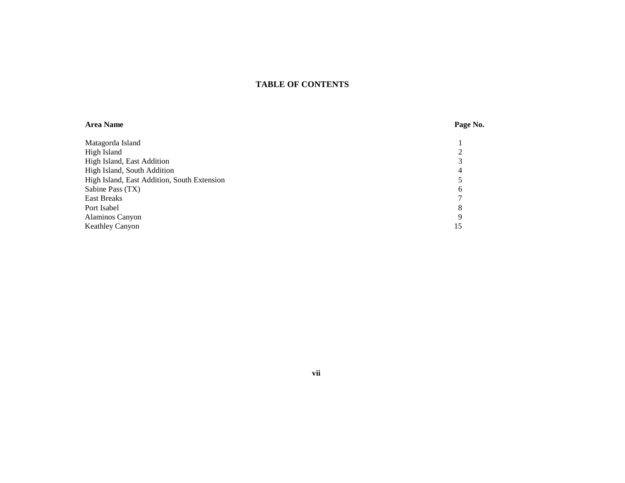#### **TABLE OF CONTENTS**

### **Area Name Page No.** Matagorda Island 1<br>
High Island 2 High Island 2 High Island, East Addition 3<br>
High Island, South Addition 4 High Island, South Addition 4 High Island, East Addition, South Extension 5<br>
Sabine Pass (TX) 6 Sabine Pass (TX) 6<br>East Breaks 7 East Breaks 7 Port Isabel 8 and 8 and 8 and 8 and 8 and 8 and 8 and 8 and 8 and 8 and 8 and 8 and 8 and 8 and 8 and 8 and 8 and 8 and 8 and 8 and 8 and 8 and 8 and 8 and 8 and 8 and 8 and 8 and 8 and 8 and 8 and 8 and 8 and 8 and 8 and Alaminos Canyon 9<br>Keathley Canyon 15 Keathley Canyon

#### **vii**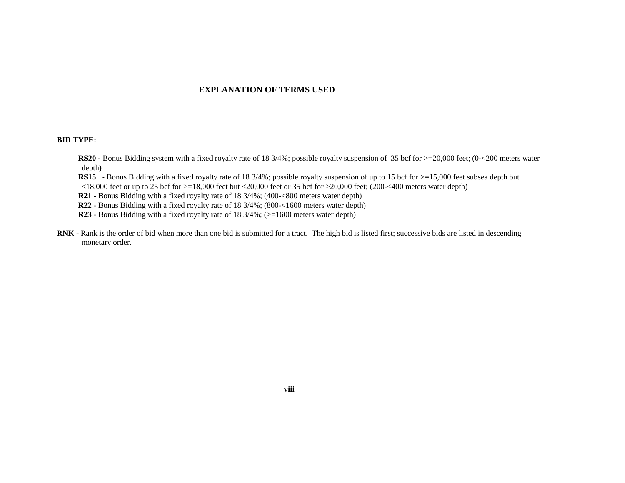#### **EXPLANATION OF TERMS USED**

#### **BID TYPE:**

- **RS20** Bonus Bidding system with a fixed royalty rate of 18 3/4%; possible royalty suspension of 35 bcf for  $>=$  20,000 feet; (0-<200 meters water depth**)**
- **RS15** Bonus Bidding with a fixed royalty rate of 18 3/4%; possible royalty suspension of up to 15 bcf for  $>=$  15,000 feet subsea depth but  $\langle 18,000 \text{ feet}$  or up to 25 bcf for  $>=18,000$  feet but  $\langle 20,000 \text{ feet}$  or 35 bcf for  $>20,000$  feet; (200 $\langle 200,000 \text{ meters}$  water depth)
- **R21** Bonus Bidding with a fixed royalty rate of 18 3/4%; (400-<800 meters water depth)
- **R22**  Bonus Bidding with a fixed royalty rate of 18 3/4%; (800-<1600 meters water depth)
- **R23** Bonus Bidding with a fixed royalty rate of 18 3/4%; ( $> = 1600$  meters water depth)
- **RNK** Rank is the order of bid when more than one bid is submitted for a tract. The high bid is listed first; successive bids are listed in descending monetary order.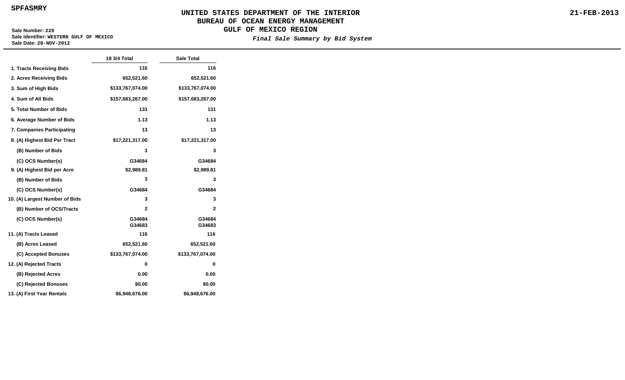**SPFASMRY**

#### **UNITED STATES DEPARTMENT OF THE INTERIOR BUREAU OF OCEAN ENERGY MANAGEMENT GULF OF MEXICO REGION**

**Sale Number: 229 Sale Identifier: WESTERN GULF OF MEXICO Sale Date: 28-NOV-2012**

#### **Final Sale Summary by Bid System**

**21-FEB-2013**

|                                | 18 3/4 Total     | <b>Sale Total</b> |
|--------------------------------|------------------|-------------------|
| 1. Tracts Receiving Bids       | 116              | 116               |
| 2. Acres Receiving Bids        | 652,521.60       | 652,521.60        |
| 3. Sum of High Bids            | \$133,767,074.00 | \$133,767,074.00  |
| 4. Sum of All Bids             | \$157,683,267.00 | \$157,683,267.00  |
| 5. Total Number of Bids        | 131              | 131               |
| 6. Average Number of Bids      | 1.13             | 1.13              |
| 7. Companies Participating     | 13               | 13                |
| 8. (A) Highest Bid Per Tract   | \$17,221,317.00  | \$17,221,317.00   |
| (B) Number of Bids             | 3                | 3                 |
| (C) OCS Number(s)              | G34684           | G34684            |
| 9. (A) Highest Bid per Acre    | \$2,989.81       | \$2,989.81        |
| (B) Number of Bids             | 3                | 3                 |
| (C) OCS Number(s)              | G34684           | G34684            |
| 10. (A) Largest Number of Bids | 3                | 3                 |
| (B) Number of OCS/Tracts       | $\mathbf{2}$     | $\overline{2}$    |
| (C) OCS Number(s)              | G34684<br>G34683 | G34684<br>G34683  |
| 11. (A) Tracts Leased          | 116              | 116               |
| (B) Acres Leased               | 652,521.60       | 652,521.60        |
| (C) Accepted Bonuses           | \$133,767,074.00 | \$133,767,074.00  |
| 12. (A) Rejected Tracts        | 0                | 0                 |
| (B) Rejected Acres             | 0.00             | 0.00              |
| (C) Rejected Bonuses           | \$0.00           | \$0.00            |
| 13. (A) First Year Rentals     | \$6,948,676.00   | \$6,948,676.00    |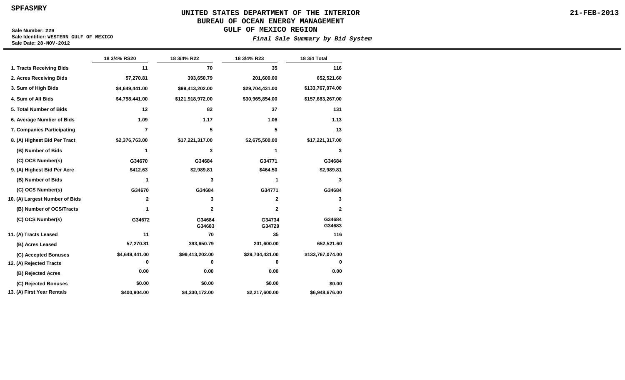**SPFASMRY**

# **UNITED STATES DEPARTMENT OF THE INTERIOR BUREAU OF OCEAN ENERGY MANAGEMENT**

**GULF OF MEXICO REGION**

**Sale Number: 229 Sale Identifier: WESTERN GULF OF MEXICO Sale Date: 28-NOV-2012**

**Final Sale Summary by Bid System**

|                                | 18 3/4% RS20   | 18 3/4% R22      | 18 3/4% R23      | 18 3/4 Total     |
|--------------------------------|----------------|------------------|------------------|------------------|
| 1. Tracts Receiving Bids       | 11             | 70               | 35               | 116              |
| 2. Acres Receiving Bids        | 57,270.81      | 393,650.79       | 201,600.00       | 652,521.60       |
| 3. Sum of High Bids            | \$4,649,441.00 | \$99,413,202.00  | \$29,704,431.00  | \$133,767,074.00 |
| 4. Sum of All Bids             | \$4,798,441.00 | \$121,918,972.00 | \$30,965,854.00  | \$157,683,267.00 |
| 5. Total Number of Bids        | 12             | 82               | 37               | 131              |
| 6. Average Number of Bids      | 1.09           | 1.17             | 1.06             | 1.13             |
| 7. Companies Participating     | $\overline{7}$ | 5                | 5                | 13               |
| 8. (A) Highest Bid Per Tract   | \$2,376,763.00 | \$17,221,317.00  | \$2,675,500.00   | \$17,221,317.00  |
| (B) Number of Bids             | 1              | 3                | 1                | 3                |
| (C) OCS Number(s)              | G34670         | G34684           | G34771           | G34684           |
| 9. (A) Highest Bid Per Acre    | \$412.63       | \$2,989.81       | \$464.50         | \$2,989.81       |
| (B) Number of Bids             | 1              | 3                | 1                | 3                |
| (C) OCS Number(s)              | G34670         | G34684           | G34771           | G34684           |
| 10. (A) Largest Number of Bids | $\mathbf{2}$   | 3                | $\mathbf{2}$     | 3                |
| (B) Number of OCS/Tracts       | 1              | $\mathbf 2$      | $\mathbf{2}$     | 2                |
| (C) OCS Number(s)              | G34672         | G34684<br>G34683 | G34734<br>G34729 | G34684<br>G34683 |
| 11. (A) Tracts Leased          | 11             | 70               | 35               | 116              |
| (B) Acres Leased               | 57,270.81      | 393,650.79       | 201,600.00       | 652,521.60       |
| (C) Accepted Bonuses           | \$4,649,441.00 | \$99,413,202.00  | \$29,704,431.00  | \$133,767,074.00 |
| 12. (A) Rejected Tracts        | 0              | 0                | 0                | 0                |
| (B) Rejected Acres             | 0.00           | 0.00             | 0.00             | 0.00             |
| (C) Rejected Bonuses           | \$0.00         | \$0.00           | \$0.00           | \$0.00           |
| 13. (A) First Year Rentals     | \$400,904.00   | \$4,330,172.00   | \$2,217,600.00   | \$6,948,676.00   |

**21-FEB-2013**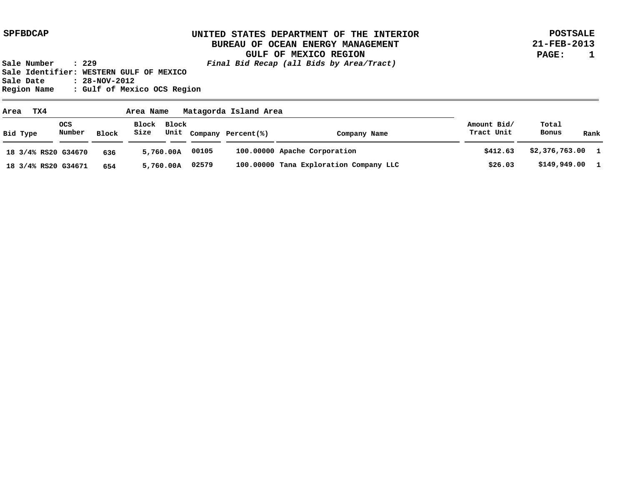**POSTSALE 21-FEB-2013 PAGE: 1**

| TX4<br>Area         |               |              |                     |           |       |                         |                                        |                           |                  |  |      |
|---------------------|---------------|--------------|---------------------|-----------|-------|-------------------------|----------------------------------------|---------------------------|------------------|--|------|
| Bid Type            | ocs<br>Number | <b>Block</b> | Block Block<br>Size |           |       | Unit Company Percent(%) | Company Name                           | Amount Bid/<br>Tract Unit | Total<br>Bonus   |  | Rank |
| 18 3/4% RS20 G34670 |               | 636          |                     | 5,760.00A | 00105 |                         | 100.00000 Apache Corporation           | \$412.63                  | \$2,376,763.00 1 |  |      |
| 18 3/4% RS20 G34671 |               | 654          |                     | 5,760.00A | 02579 |                         | 100.00000 Tana Exploration Company LLC | \$26.03                   | $$149,949.00$ 1  |  |      |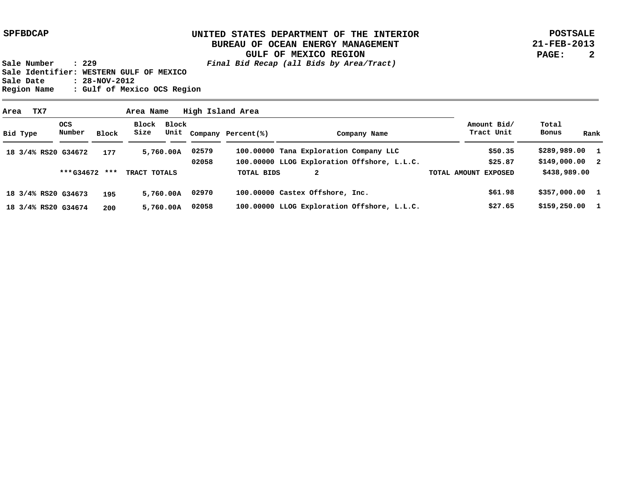**POSTSALE 21-FEB-2013 PAGE: 2**

| Area |          | TX7 |                     |       | Area Name           |           |       | High Island Area        |                                             |                           |                        |
|------|----------|-----|---------------------|-------|---------------------|-----------|-------|-------------------------|---------------------------------------------|---------------------------|------------------------|
|      | Bid Type |     | OCS<br>Number       | Block | Block Block<br>Size |           |       | Unit Company Percent(%) | Company Name                                | Amount Bid/<br>Tract Unit | Total<br>Bonus<br>Rank |
|      |          |     | 18 3/4% RS20 G34672 | 177   |                     | 5,760.00A | 02579 |                         | 100.00000 Tana Exploration Company LLC      | \$50.35                   | \$289,989.00 1         |
|      |          |     |                     |       |                     |           | 02058 |                         | 100.00000 LLOG Exploration Offshore, L.L.C. | \$25.87                   | \$149,000.002          |
|      |          |     | ***G34672 ***       |       | TRACT TOTALS        |           |       | <b>TOTAL BIDS</b>       | 2                                           | TOTAL AMOUNT EXPOSED      | \$438,989.00           |
|      |          |     | 18 3/4% RS20 G34673 | 195   |                     | 5,760.00A | 02970 |                         | 100.00000 Castex Offshore, Inc.             | \$61.98                   | \$357,000.001          |
|      |          |     | 18 3/4% RS20 G34674 | 200   |                     | 5,760.00A | 02058 |                         | 100.00000 LLOG Exploration Offshore, L.L.C. | \$27.65                   | \$159,250.00           |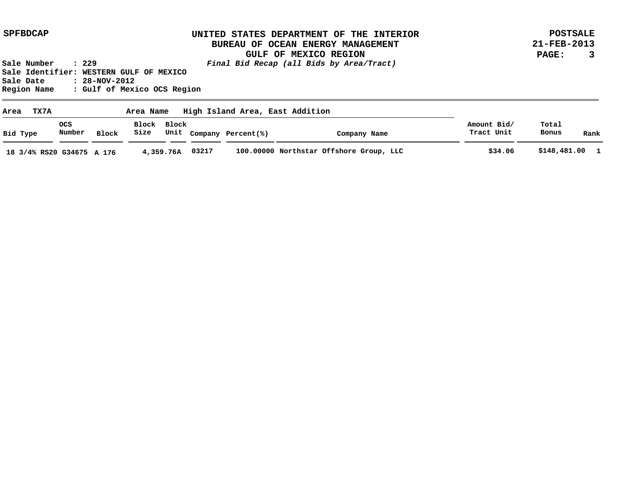**POSTSALE 21-FEB-2013 PAGE: 3**

| TX7A<br>Area              |                      |       | Area Name           |           |       | High Island Area, East Addition |                                         |                           |                |      |
|---------------------------|----------------------|-------|---------------------|-----------|-------|---------------------------------|-----------------------------------------|---------------------------|----------------|------|
| Bid Type                  | <b>OCS</b><br>Number | Block | Block Block<br>Size |           |       | Unit Company Percent(%)         | Company Name                            | Amount Bid/<br>Tract Unit | Total<br>Bonus | Rank |
| 18 3/4% RS20 G34675 A 176 |                      |       |                     | 4,359.76A | 03217 |                                 | 100.00000 Northstar Offshore Group, LLC | \$34.06                   | \$148,481.00 1 |      |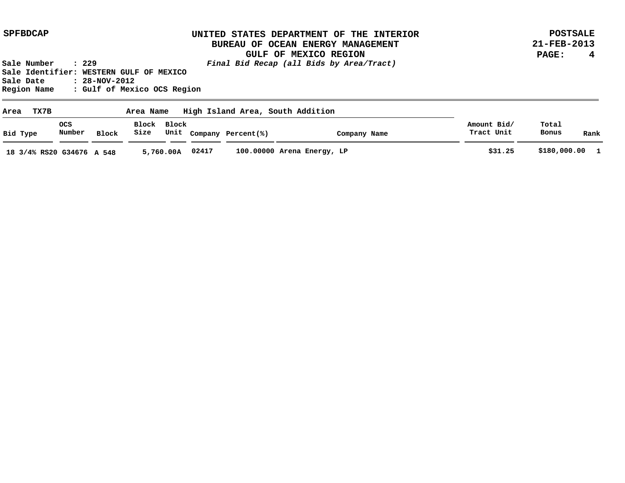**POSTSALE 21-FEB-2013 PAGE: 4**

| TX7B<br>Area              |                      |       | Area Name |             |       |                         | High Island Area, South Addition | Amount Bid/<br>Tract Unit |                |                |
|---------------------------|----------------------|-------|-----------|-------------|-------|-------------------------|----------------------------------|---------------------------|----------------|----------------|
| Bid Type                  | <b>OCS</b><br>Number | Block | Size      | Block Block |       | Unit Company Percent(%) | Company Name                     |                           | Total<br>Bonus | Rank           |
| 18 3/4% RS20 G34676 A 548 |                      |       |           | 5,760.00A   | 02417 |                         | 100.00000 Arena Energy, LP       | \$31.25                   |                | \$180,000.00 1 |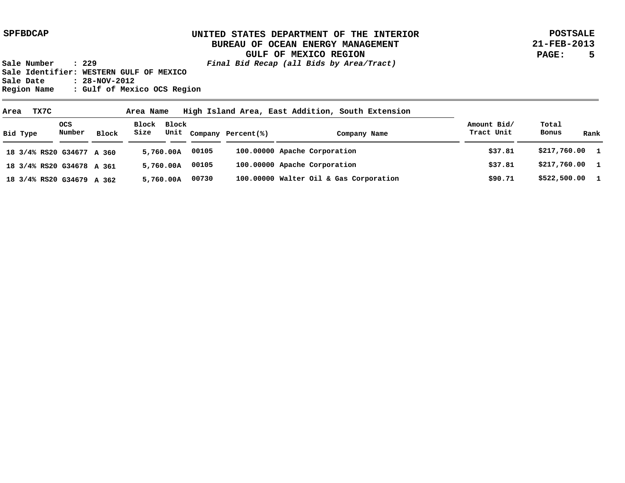**POSTSALE 21-FEB-2013 PAGE: 5**

| Area | TX7C                      |                |       | Area Name           |           | High Island Area, East Addition, South Extension |                         |                                        |                           |                |      |
|------|---------------------------|----------------|-------|---------------------|-----------|--------------------------------------------------|-------------------------|----------------------------------------|---------------------------|----------------|------|
|      | Bid Type                  | OCS.<br>Number | Block | Block Block<br>Size |           |                                                  | Unit Company Percent(%) | Company Name                           | Amount Bid/<br>Tract Unit | Total<br>Bonus | Rank |
|      | 18 3/4% RS20 G34677 A 360 |                |       |                     | 5,760.00A | 00105                                            |                         | 100.00000 Apache Corporation           | \$37.81                   | \$217,760.00 1 |      |
|      | 18 3/4% RS20 G34678 A 361 |                |       |                     | 5,760.00A | 00105                                            |                         | 100.00000 Apache Corporation           | \$37.81                   | \$217,760.00 1 |      |
|      | 18 3/4% RS20 G34679 A 362 |                |       |                     | 5,760.00A | 00730                                            |                         | 100.00000 Walter Oil & Gas Corporation | \$90.71                   | \$522,500.00 1 |      |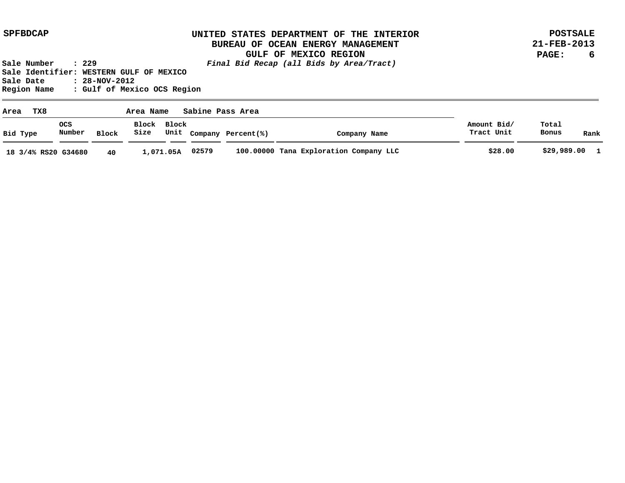**POSTSALE 21-FEB-2013 PAGE: 6**

| TX8<br>Area         | Sabine Pass Area<br>Area Name |       |                     |           |       |                         |                                        |                           |                |              |
|---------------------|-------------------------------|-------|---------------------|-----------|-------|-------------------------|----------------------------------------|---------------------------|----------------|--------------|
| Bid Type            | ocs<br>Number                 | Block | Block Block<br>Size |           |       | Unit Company Percent(%) | Company Name                           | Amount Bid/<br>Tract Unit | Total<br>Bonus | Rank         |
| 18 3/4% RS20 G34680 |                               | 40    |                     | 1,071.05A | 02579 |                         | 100.00000 Tana Exploration Company LLC | \$28.00                   | \$29,989.00    | $\mathbf{1}$ |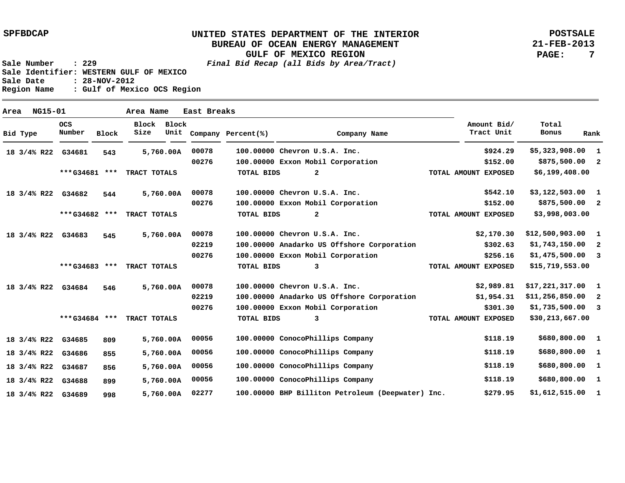**POSTSALE 21-FEB-2013 PAGE: 7**

**Sale Number : 229 Final Bid Recap (all Bids by Area/Tract)**

**Sale Identifier: WESTERN GULF OF MEXICO Sale Date : 28-NOV-2012 Region Name : Gulf of Mexico OCS Region**

| Area |          | NG15-01     |                    |       | Area Name            |           | East Breaks |                         |                                                   |                           |                    |      |
|------|----------|-------------|--------------------|-------|----------------------|-----------|-------------|-------------------------|---------------------------------------------------|---------------------------|--------------------|------|
|      | Bid Type |             | OCS<br>Number      | Block | <b>Block</b><br>Size | Block     |             | Unit Company Percent(%) | Company Name                                      | Amount Bid/<br>Tract Unit | Total<br>Bonus     | Rank |
|      |          | 18 3/4% R22 | G34681             | 543   |                      | 5,760.00A | 00078       |                         | 100.00000 Chevron U.S.A. Inc.                     | \$924.29                  | $$5,323,908.00$ 1  |      |
|      |          |             |                    |       |                      |           | 00276       |                         | 100.00000 Exxon Mobil Corporation                 | \$152.00                  | \$875,500.00 2     |      |
|      |          |             | ***G34681 ***      |       | TRACT TOTALS         |           |             | <b>TOTAL BIDS</b>       | $\overline{a}$                                    | TOTAL AMOUNT EXPOSED      | \$6,199,408.00     |      |
|      |          | 18 3/4% R22 | G34682             | 544   |                      | 5,760.00A | 00078       |                         | 100.00000 Chevron U.S.A. Inc.                     | \$542.10                  | $$3,122,503.00$ 1  |      |
|      |          |             |                    |       |                      |           | 00276       |                         | 100.00000 Exxon Mobil Corporation                 | \$152.00                  | \$875,500.00 2     |      |
|      |          |             | ***G34682 ***      |       | TRACT TOTALS         |           |             | <b>TOTAL BIDS</b>       | $\overline{a}$                                    | TOTAL AMOUNT EXPOSED      | \$3,998,003.00     |      |
|      |          |             | 18 3/4% R22 G34683 | 545   |                      | 5,760.00A | 00078       |                         | 100.00000 Chevron U.S.A. Inc.                     | \$2,170.30                | $$12,500,903.00$ 1 |      |
|      |          |             |                    |       |                      |           | 02219       |                         | 100.00000 Anadarko US Offshore Corporation        | \$302.63                  | $$1,743,150.00$ 2  |      |
|      |          |             |                    |       |                      |           | 00276       |                         | 100.00000 Exxon Mobil Corporation                 | \$256.16                  | $$1,475,500.00$ 3  |      |
|      |          |             | ***G34683 ***      |       | TRACT TOTALS         |           |             | <b>TOTAL BIDS</b>       | 3                                                 | TOTAL AMOUNT EXPOSED      | \$15,719,553.00    |      |
|      |          | 18 3/4% R22 | G34684             | 546   |                      | 5,760.00A | 00078       |                         | 100.00000 Chevron U.S.A. Inc.                     | \$2,989.81                | $$17,221,317.00$ 1 |      |
|      |          |             |                    |       |                      |           | 02219       |                         | 100.00000 Anadarko US Offshore Corporation        | \$1,954.31                | $$11,256,850.00$ 2 |      |
|      |          |             |                    |       |                      |           | 00276       |                         | 100.00000 Exxon Mobil Corporation                 | \$301.30                  | $$1,735,500.00$ 3  |      |
|      |          |             | ***G34684 ***      |       | TRACT TOTALS         |           |             | <b>TOTAL BIDS</b>       | 3                                                 | TOTAL AMOUNT EXPOSED      | \$30,213,667.00    |      |
|      |          | 18 3/4% R22 | G34685             | 809   |                      | 5,760.00A | 00056       |                         | 100.00000 ConocoPhillips Company                  | \$118.19                  | \$680,800.00 1     |      |
|      |          | 18 3/4% R22 | G34686             | 855   |                      | 5,760.00A | 00056       |                         | 100.00000 ConocoPhillips Company                  | \$118.19                  | \$680,800.00 1     |      |
|      |          | 18 3/4% R22 | G34687             | 856   |                      | 5,760.00A | 00056       |                         | 100.00000 ConocoPhillips Company                  | \$118.19                  | \$680,800.00 1     |      |
|      |          | 18 3/4% R22 | G34688             | 899   |                      | 5,760.00A | 00056       |                         | 100.00000 ConocoPhillips Company                  | \$118.19                  | \$680,800.00 1     |      |
|      |          | 18 3/4% R22 | G34689             | 998   |                      | 5,760.00A | 02277       |                         | 100.00000 BHP Billiton Petroleum (Deepwater) Inc. | \$279.95                  | $$1,612,515.00$ 1  |      |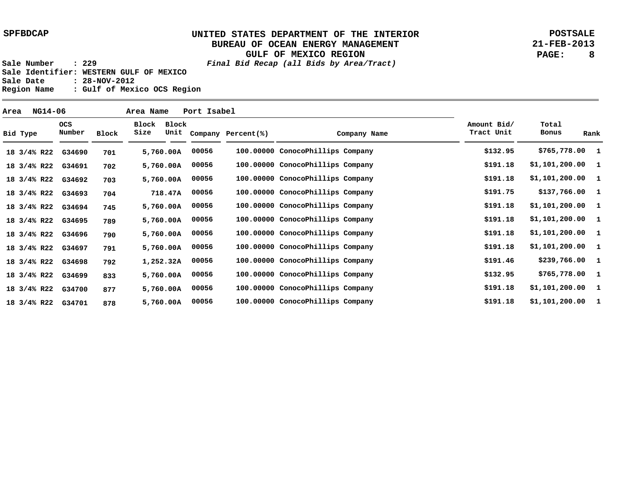**POSTSALE 21-FEB-2013 PAGE: 8**

| Area | NG14-06     |                    |       | Area Name     |           | Port Isabel |                         |                                  |                           |                   |      |
|------|-------------|--------------------|-------|---------------|-----------|-------------|-------------------------|----------------------------------|---------------------------|-------------------|------|
|      | Bid Type    | ocs<br>Number      | Block | Block<br>Size | Block     |             | Unit Company Percent(%) | Company Name                     | Amount Bid/<br>Tract Unit | Total<br>Bonus    | Rank |
|      | 18 3/4% R22 | G34690             | 701   |               | 5,760.00A | 00056       |                         | 100.00000 ConocoPhillips Company | \$132.95                  | \$765,778.00 1    |      |
|      |             | 18 3/4% R22 G34691 | 702   |               | 5,760.00A | 00056       |                         | 100.00000 ConocoPhillips Company | \$191.18                  | \$1,101,200.00 1  |      |
|      | 18 3/4% R22 | G34692             | 703   |               | 5,760.00A | 00056       |                         | 100.00000 ConocoPhillips Company | \$191.18                  | \$1,101,200.00 1  |      |
|      | 18 3/4% R22 | G34693             | 704   |               | 718.47A   | 00056       |                         | 100.00000 ConocoPhillips Company | \$191.75                  | \$137,766.00 1    |      |
|      |             | 18 3/4% R22 G34694 | 745   |               | 5,760.00A | 00056       |                         | 100.00000 ConocoPhillips Company | \$191.18                  | $$1,101,200.00$ 1 |      |
|      |             | 18 3/4% R22 G34695 | 789   |               | 5,760.00A | 00056       |                         | 100.00000 ConocoPhillips Company | \$191.18                  | $$1,101,200.00$ 1 |      |
|      |             | 18 3/4% R22 G34696 | 790   |               | 5,760.00A | 00056       |                         | 100.00000 ConocoPhillips Company | \$191.18                  | $$1,101,200.00$ 1 |      |
|      |             | 18 3/4% R22 G34697 | 791   |               | 5,760.00A | 00056       |                         | 100.00000 ConocoPhillips Company | \$191.18                  | $$1,101,200.00$ 1 |      |
|      |             | 18 3/4% R22 G34698 | 792   |               | 1,252.32A | 00056       |                         | 100.00000 ConocoPhillips Company | \$191.46                  | \$239,766.00 1    |      |
|      | 18 3/4% R22 | G34699             | 833   |               | 5,760.00A | 00056       |                         | 100.00000 ConocoPhillips Company | \$132.95                  | \$765,778.00 1    |      |
|      | 18 3/4% R22 | G34700             | 877   |               | 5,760.00A | 00056       |                         | 100.00000 ConocoPhillips Company | \$191.18                  | \$1,101,200.00 1  |      |
|      | 18 3/4% R22 | G34701             | 878   |               | 5,760.00A | 00056       |                         | 100.00000 ConocoPhillips Company | \$191.18                  | \$1,101,200.00 1  |      |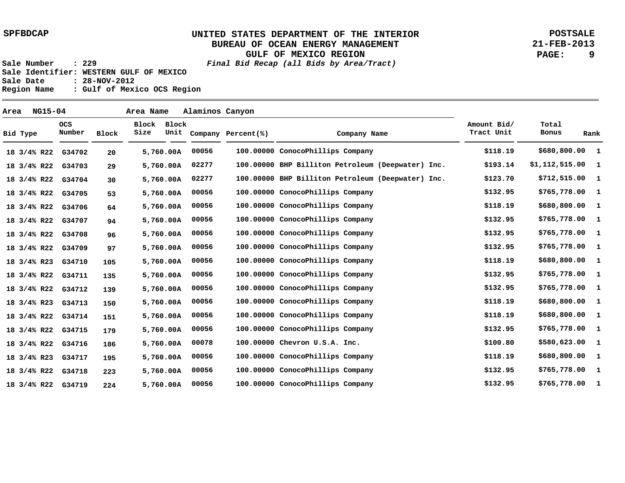**POSTSALE 21-FEB-2013 PAGE: 9**

| Area |                        | <b>NG15-04</b> |                      |              | Area Name           |           | Alaminos Canyon |                    |                                                   |                           |                   |                |
|------|------------------------|----------------|----------------------|--------------|---------------------|-----------|-----------------|--------------------|---------------------------------------------------|---------------------------|-------------------|----------------|
|      | Bid Type               |                | <b>OCS</b><br>Number | <b>Block</b> | Block Block<br>Size | Unit      |                 | Company Percent(%) | Company Name                                      | Amount Bid/<br>Tract Unit | Total<br>Bonus    | Rank           |
|      | 18 3/4% R22            |                | G34702               | 20           |                     | 5,760.00A | 00056           |                    | 100.00000 ConocoPhillips Company                  | \$118.19                  | \$680,800.00 1    |                |
|      | 18 3/4% R22            |                | G34703               | 29           |                     | 5,760.00A | 02277           |                    | 100.00000 BHP Billiton Petroleum (Deepwater) Inc. | \$193.14                  | $$1,112,515.00$ 1 |                |
|      | 18 3/4% R22            |                | G34704               | 30           |                     | 5,760.00A | 02277           |                    | 100.00000 BHP Billiton Petroleum (Deepwater) Inc. | \$123.70                  | \$712,515.00      | $\blacksquare$ |
|      | 18 3/4% R22            |                | G34705               | 53           |                     | 5,760.00A | 00056           |                    | 100.00000 ConocoPhillips Company                  | \$132.95                  | \$765,778.00 1    |                |
|      | 18 3/4% R22            |                | G34706               | 64           |                     | 5,760.00A | 00056           |                    | 100.00000 ConocoPhillips Company                  | \$118.19                  | \$680,800.00 1    |                |
|      | 18 3/4% R22            |                | G34707               | 94           |                     | 5,760.00A | 00056           |                    | 100.00000 ConocoPhillips Company                  | \$132.95                  | \$765,778.00 1    |                |
|      | 18 3/4% R22            |                | G34708               | 96           |                     | 5,760.00A | 00056           |                    | 100.00000 ConocoPhillips Company                  | \$132.95                  | \$765,778.00 1    |                |
|      | 18 3/4% R22            |                | G34709               | 97           |                     | 5,760.00A | 00056           |                    | 100.00000 ConocoPhillips Company                  | \$132.95                  | \$765,778.00 1    |                |
|      | $18 \frac{3}{4\%}$ R23 |                | G34710               | 105          |                     | 5,760.00A | 00056           |                    | 100.00000 ConocoPhillips Company                  | \$118.19                  | \$680,800.00      | $\mathbf{1}$   |
|      | 18 3/4% R22            |                | G34711               | 135          |                     | 5,760.00A | 00056           |                    | 100.00000 ConocoPhillips Company                  | \$132.95                  | \$765,778.00 1    |                |
|      | 18 3/4% R22            |                | G34712               | 139          |                     | 5,760.00A | 00056           |                    | 100.00000 ConocoPhillips Company                  | \$132.95                  | \$765,778.00 1    |                |
|      | $18 \frac{3}{4\%}$ R23 |                | G34713               | 150          |                     | 5,760.00A | 00056           |                    | 100.00000 ConocoPhillips Company                  | \$118.19                  | \$680,800.00 1    |                |
|      | 18 3/4% R22            |                | G34714               | 151          |                     | 5,760.00A | 00056           |                    | 100.00000 ConocoPhillips Company                  | \$118.19                  | \$680,800.00 1    |                |
|      | 18 3/4% R22            |                | G34715               | 179          |                     | 5,760.00A | 00056           |                    | 100.00000 ConocoPhillips Company                  | \$132.95                  | \$765,778.00 1    |                |
|      | 18 3/4% R22            |                | G34716               | 186          |                     | 5,760.00A | 00078           |                    | 100.00000 Chevron U.S.A. Inc.                     | \$100.80                  | \$580,623.00 1    |                |
|      | $18 \frac{3}{4\%}$ R23 |                | G34717               | 195          |                     | 5,760.00A | 00056           |                    | 100.00000 ConocoPhillips Company                  | \$118.19                  | \$680,800.00      | - 1            |
|      | 18 3/4% R22            |                | G34718               | 223          |                     | 5,760.00A | 00056           |                    | 100.00000 ConocoPhillips Company                  | \$132.95                  | \$765,778.00 1    |                |
|      | 18 3/4% R22            |                | G34719               | 224          |                     | 5,760.00A | 00056           |                    | 100.00000 ConocoPhillips Company                  | \$132.95                  | \$765,778.00 1    |                |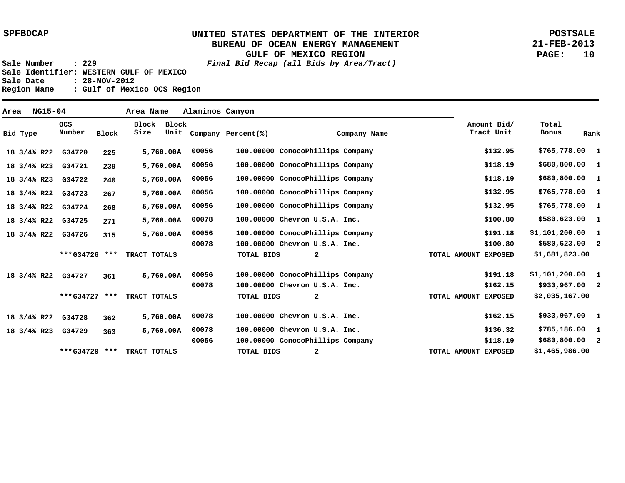**POSTSALE 21-FEB-2013 PAGE: 10**

| NG15-04<br>Area Name<br>Area |                        |  |                      |       |               |               | Alaminos Canyon |                                  |  |              |              |  |                           |                   |              |
|------------------------------|------------------------|--|----------------------|-------|---------------|---------------|-----------------|----------------------------------|--|--------------|--------------|--|---------------------------|-------------------|--------------|
|                              | Bid Type               |  | <b>OCS</b><br>Number | Block | Block<br>Size | Block<br>Unit |                 | Company Percent(%)               |  |              | Company Name |  | Amount Bid/<br>Tract Unit | Total<br>Bonus    | Rank         |
|                              | 18 3/4% R22            |  | G34720               | 225   |               | 5,760.00A     | 00056           | 100.00000 ConocoPhillips Company |  |              |              |  | \$132.95                  | \$765,778.00 1    |              |
|                              | $18 \frac{3}{4\%}$ R23 |  | G34721               | 239   |               | 5,760.00A     | 00056           | 100.00000 ConocoPhillips Company |  |              |              |  | \$118.19                  | \$680,800.00 1    |              |
|                              | 18 3/4% R23            |  | G34722               | 240   |               | 5,760.00A     | 00056           | 100.00000 ConocoPhillips Company |  |              |              |  | \$118.19                  | \$680,800.00      | $\mathbf{1}$ |
|                              | 18 3/4% R22            |  | G34723               | 267   |               | 5,760.00A     | 00056           | 100.00000 ConocoPhillips Company |  |              |              |  | \$132.95                  | \$765,778.00 1    |              |
|                              | 18 3/4% R22            |  | G34724               | 268   |               | 5,760.00A     | 00056           | 100.00000 ConocoPhillips Company |  |              |              |  | \$132.95                  | \$765,778.00 1    |              |
|                              | 18 3/4% R22            |  | G34725               | 271   |               | 5,760.00A     | 00078           | 100.00000 Chevron U.S.A. Inc.    |  |              |              |  | \$100.80                  | \$580,623.00 1    |              |
|                              | 18 3/4% R22            |  | G34726               | 315   |               | 5,760.00A     | 00056           | 100.00000 ConocoPhillips Company |  |              |              |  | \$191.18                  | $$1,101,200.00$ 1 |              |
|                              |                        |  |                      |       |               |               | 00078           | 100.00000 Chevron U.S.A. Inc.    |  |              |              |  | \$100.80                  | $$580,623.00$ 2   |              |
|                              |                        |  | ***G34726 ***        |       | TRACT TOTALS  |               |                 | TOTAL BIDS                       |  | $\mathbf{2}$ |              |  | TOTAL AMOUNT EXPOSED      | \$1,681,823.00    |              |
|                              | 18 3/4% R22            |  | G34727               | 361   |               | 5,760.00A     | 00056           | 100.00000 ConocoPhillips Company |  |              |              |  | \$191.18                  | $$1,101,200.00$ 1 |              |
|                              |                        |  |                      |       |               |               | 00078           | 100.00000 Chevron U.S.A. Inc.    |  |              |              |  | \$162.15                  | $$933,967.00$ 2   |              |
|                              |                        |  | ***G34727 ***        |       | TRACT TOTALS  |               |                 | <b>TOTAL BIDS</b>                |  | $\mathbf{2}$ |              |  | TOTAL AMOUNT EXPOSED      | \$2,035,167.00    |              |
|                              | 18 3/4% R22            |  | G34728               | 362   |               | 5,760.00A     | 00078           | 100.00000 Chevron U.S.A. Inc.    |  |              |              |  | \$162.15                  | \$933,967.00 1    |              |
|                              | 18 3/4% R23            |  | G34729               | 363   |               | 5,760.00A     | 00078           | 100.00000 Chevron U.S.A. Inc.    |  |              |              |  | \$136.32                  | \$785,186.00      | $\mathbf{1}$ |
|                              |                        |  |                      |       |               |               | 00056           | 100.00000 ConocoPhillips Company |  |              |              |  | \$118.19                  | $$680,800.00$ 2   |              |
|                              |                        |  | ***G34729            | ***   | TRACT TOTALS  |               |                 | TOTAL BIDS                       |  | 2            |              |  | TOTAL AMOUNT EXPOSED      | \$1,465,986.00    |              |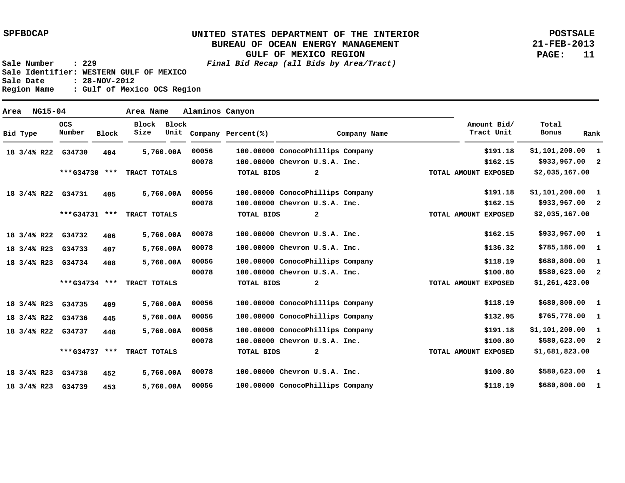**POSTSALE 21-FEB-2013 PAGE: 11**

**Sale Number : 229 Final Bid Recap (all Bids by Area/Tract) Sale Identifier: WESTERN GULF OF MEXICO Sale Date : 28-NOV-2012 Region Name : Gulf of Mexico OCS Region**

 **404 405 406 407 408 409 445 448 452 453 100.00000 ConocoPhillips Company 100.00000 Chevron U.S.A. Inc. 100.00000 ConocoPhillips Company 100.00000 Chevron U.S.A. Inc. 100.00000 Chevron U.S.A. Inc. 100.00000 Chevron U.S.A. Inc. 100.00000 ConocoPhillips Company 100.00000 Chevron U.S.A. Inc. 100.00000 ConocoPhillips Company 100.00000 ConocoPhillips Company 100.00000 ConocoPhillips Company 100.00000 Chevron U.S.A. Inc. 100.00000 Chevron U.S.A. Inc. 100.00000 ConocoPhillips Company 00056 00078 00056 00078 00078 00078 00056 00078 00056 00056 00056 00078 00078 00056 5,760.00 A \$1,101,200.00 1 \$933,967.00 2 \$1,101,200.00 \$933,967.00 \$933,967.00 \$785,186.00 1 \$680,800.00 1 \$580,623.00 \$680,800.00 \$765,778.00 \$1,101,200.00 \$580,623.00 \$580,623.00 1 \$680,800.00 1 1 2 1 2 1 1 1 2 \$191.18 \$162.15 \$191.18 \$162.15 \$162.15 \$136.32 \$118.19 \$100.80 \$118.19 \$132.95 \$191.18 \$100.80 \$100.80 \$118.19 G34730 18 3/4% R22 G34731 18 3/4% R22 G34732 18 3/4% R22 G34733 18 3/4% R23 G34734 18 3/4% R23 G34735 18 3/4% R23 G34736 18 3/4% R22 G34737 18 3/4% R22 G34738 18 3/4% R23 G34739 18 3/4% R23 5,760.00 A 5,760.00 A 5,760.00 A 5,760.00 A 5,760.00 A 5,760.00 A 5,760.00 A 5,760.00 A 5,760.00 A \$2,035,167.00 \$2,035,167.00 \$1,261,423.00 \$1,681,823.00 2 2 2 2 \*\*\* \*\*\* TRACT TOTALS G34730 \*\*\* \*\*\* TRACT TOTALS G34731 \*\*\* G34734 \*\*\* \*\*\* TRACT TOTALS G34737 \*\*\* TRACT TOTALS TOTAL BIDS TOTAL BIDS TOTAL BIDS TOTAL BIDS TOTAL AMOUNT EXPOSED TOTAL AMOUNT EXPOSED TOTAL AMOUNT EXPOSED TOTAL AMOUNT EXPOSED Bid Type OCS Number Block Block Block Size Unit Company Percent(%) Company Name Amount Bid/ Tract Unit Total Bonus Rank Area NG15-04 Area Name Alaminos Canyon**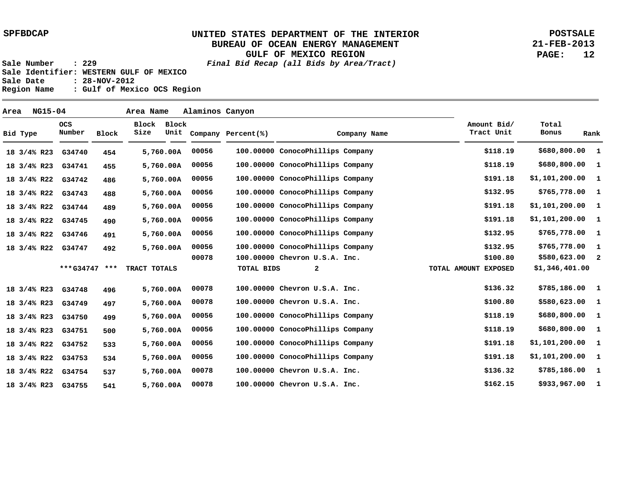**POSTSALE 21-FEB-2013 PAGE: 12**

**Sale Number : 229 Final Bid Recap (all Bids by Area/Tract) Sale Identifier: WESTERN GULF OF MEXICO Sale Date : 28-NOV-2012 Region Name : Gulf of Mexico OCS Region**

 **454 455 486 488 489 490 491 492 496 497 499 500 533 534 537 541 100.00000 ConocoPhillips Company 100.00000 ConocoPhillips Company 100.00000 ConocoPhillips Company 100.00000 ConocoPhillips Company 100.00000 ConocoPhillips Company 100.00000 ConocoPhillips Company 100.00000 ConocoPhillips Company 100.00000 ConocoPhillips Company 100.00000 Chevron U.S.A. Inc. 100.00000 Chevron U.S.A. Inc. 100.00000 Chevron U.S.A. Inc. 100.00000 ConocoPhillips Company 100.00000 ConocoPhillips Company 100.00000 ConocoPhillips Company 100.00000 ConocoPhillips Company 100.00000 Chevron U.S.A. Inc. 100.00000 Chevron U.S.A. Inc. 00056 00056 00056 00056 00056 00056 00056 00056 00078 00078 00078 00056 00056 00056 00056 00078 00078 \$680,800.00 \$680,800.00 \$1,101,200.00 \$765,778.00 \$1,101,200.00 \$1,101,200.00 \$765,778.00 \$765,778.00 \$580,623.00 \$785,186.00 \$580,623.00 \$680,800.00 \$680,800.00 \$1,101,200.00 \$1,101,200.00 \$785,186.00 \$933,967.00 1 1 1 1 1 1 1 1 2 1 1 1 1 1 1 1 1 \$118.19 \$118.19 \$191.18 \$132.95 \$191.18 \$191.18 \$132.95 \$132.95 \$100.80 \$136.32 \$100.80 \$118.19 \$118.19 \$191.18 \$191.18 \$136.32 \$162.15 G34740 18 3/4% R23 G34741 G34742 18 3/4% R22 G34743 18 3/4% R22 G34744 18 3/4% R22 G34745 18 3/4% R22 G34746 18 3/4% R22 G34747 18 3/4% R22 G34748 18 3/4% R23 G34749 18 3/4% R23 G34750 18 3/4% R23 G34751 18 3/4% R23 G34752 18 3/4% R22 G34753 18 3/4% R22 G34754 18 3/4% R22 G34755 18 3/4% R23 5,760.00 A 5,760.00 A 5,760.00 A 5,760.00 A 5,760.00 A 5,760.00 A 5,760.00 A 5,760.00 A 5,760.00 A 5,760.00 A 5,760.00 A 5,760.00 A 5,760.00 A 5,760.00 A 5,760.00 A 5,760.00 A 18 3/4% R23 \*\*\*G34747 \*\*\* TRACT TOTALS TOTAL BIDS 2 TOTAL AMOUNT EXPOSED \$1,346,401.00 Bid Type OCS Number Block Block Block Size Unit Company Percent(%) Company Name Amount Bid/ Tract Unit Total Bonus Rank Area NG15-04 Area Name Alaminos Canyon**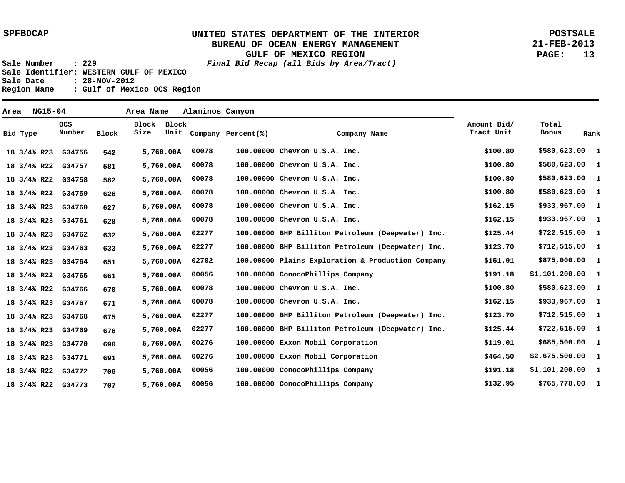**POSTSALE 21-FEB-2013 PAGE: 13**

**Sale Number : 229 Final Bid Recap (all Bids by Area/Tract) Sale Identifier: WESTERN GULF OF MEXICO Sale Date : 28-NOV-2012 Region Name : Gulf of Mexico OCS Region**

 **542 581 582 626 627 628 632 633 651 661 670 671 675 676 690 691 706 707 100.00000 Chevron U.S.A. Inc. 100.00000 Chevron U.S.A. Inc. 100.00000 Chevron U.S.A. Inc. 100.00000 Chevron U.S.A. Inc. 100.00000 Chevron U.S.A. Inc. 100.00000 Chevron U.S.A. Inc. 100.00000 BHP Billiton Petroleum (Deepwater) Inc. 100.00000 BHP Billiton Petroleum (Deepwater) Inc. 100.00000 Plains Exploration & Production Company 100.00000 ConocoPhillips Company 100.00000 Chevron U.S.A. Inc. 100.00000 Chevron U.S.A. Inc. 100.00000 BHP Billiton Petroleum (Deepwater) Inc. 100.00000 BHP Billiton Petroleum (Deepwater) Inc. 100.00000 Exxon Mobil Corporation 100.00000 Exxon Mobil Corporation 100.00000 ConocoPhillips Company 100.00000 ConocoPhillips Company 00078 00078 00078 00078 00078 00078 02277 02277 02702 00056 00078 00078 02277 02277 00276 00276 00056 00056 \$580,623.00 \$580,623.00 \$580,623.00 \$580,623.00 \$933,967.00 \$933,967.00 \$722,515.00 \$712,515.00 \$875,000.00 \$1,101,200.00 \$580,623.00 \$933,967.00 \$712,515.00 \$722,515.00 \$685,500.00 \$2,675,500.00 \$1,101,200.00 \$765,778.00 1 1 1 1 1 1 1 1 1 1 1 1 1 1 1 1 1 1 \$100.80 \$100.80 \$100.80 \$100.80 \$162.15 \$162.15 \$125.44 \$123.70 \$151.91 \$191.18 \$100.80 \$162.15 \$123.70 \$125.44 \$119.01 \$464.50 \$191.18 \$132.95 G34756 18 3/4% R23 G34757 G34758 18 3/4% R22 G34759 18 3/4% R22 G34760 18 3/4% R23 G34761 18 3/4% R23 G34762 18 3/4% R23 G34763 18 3/4% R23 G34764 18 3/4% R23 G34765 18 3/4% R22 G34766 18 3/4% R22 G34767 18 3/4% R23 G34768 18 3/4% R23 G34769 18 3/4% R23 G34770 18 3/4% R23 G34771 18 3/4% R23 G34772 18 3/4% R22 G34773 18 3/4% R22 5,760.00 A 5,760.00 A 5,760.00 A 5,760.00 A 5,760.00 A 5,760.00 A 5,760.00 A 5,760.00 A 5,760.00 A 5,760.00 A 5,760.00 A 5,760.00 A 5,760.00 A 5,760.00 A 5,760.00 A 5,760.00 A 5,760.00 A 5,760.00 A 18 3/4% R22 Bid Type OCS Number Block Block Block Size Unit Company Percent(%) Company Name Amount Bid/ Tract Unit Total Bonus Rank Area NG15-04 Area Name Alaminos Canyon**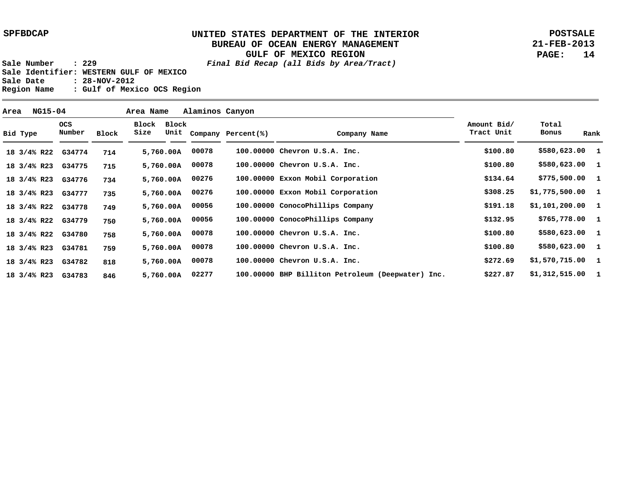**Bid Type**

#### **UNITED STATES DEPARTMENT OF THE INTERIOR BUREAU OF OCEAN ENERGY MANAGEMENT GULF OF MEXICO REGION**

**POSTSALE 21-FEB-2013 PAGE: 14**

 **\$1,312,515.00 1**

 **\$227.87**

**1**

**1**

**Sale Number : 229 Final Bid Recap (all Bids by Area/Tract) Sale Identifier: WESTERN GULF OF MEXICO Sale Date : 28-NOV-2012 Region Name : Gulf of Mexico OCS Region**

> **818 846**

**G34782 18 3/4% R23 G34783 18 3/4% R23**

**02277 5,760.00 A**

 **714 715 734 735 749 750 758 759 100.00000 Chevron U.S.A. Inc. 100.00000 Chevron U.S.A. Inc. 100.00000 Exxon Mobil Corporation 100.00000 Exxon Mobil Corporation 100.00000 ConocoPhillips Company 100.00000 ConocoPhillips Company 100.00000 Chevron U.S.A. Inc. 100.00000 Chevron U.S.A. Inc. 100.00000 Chevron U.S.A. Inc. 00078 00078 00276 5,760.00 A 00276 5,760.00 A 00056 00056 00078 00078 00078 5,760.00 A \$580,623.00 1 \$580,623.00 1 \$775,500.00 \$1,775,500.00 1 \$1,101,200.00 1 \$765,778.00 1 \$580,623.00 \$580,623.00 1 \$1,570,715.00 1 \$100.80 \$100.80 \$134.64 \$308.25 \$191.18 \$132.95 \$100.80 \$100.80 \$272.69 G34774 18 3/4% R22 G34775 18 3/4% R23 G34776 18 3/4% R23 G34777 18 3/4% R23 G34778 18 3/4% R22 G34779 18 3/4% R22 G34780 18 3/4% R22 G34781 18 3/4% R23 5,760.00 A 5,760.00 A 5,760.00 A 5,760.00 A 5,760.00 A 5,760.00 A OCS Number Block Block Block Size Unit Company Percent(%) Company Name Amount Bid/ Tract Unit Total Bonus Rank Area NG15-04 Area Name Alaminos Canyon**

 **100.00000 BHP Billiton Petroleum (Deepwater) Inc.**